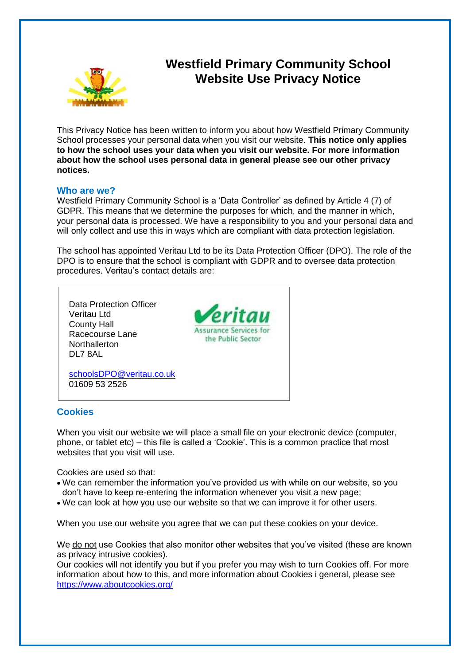

# **Westfield Primary Community School Website Use Privacy Notice**

This Privacy Notice has been written to inform you about how Westfield Primary Community School processes your personal data when you visit our website. **This notice only applies to how the school uses your data when you visit our website. For more information about how the school uses personal data in general please see our other privacy notices.**

#### **Who are we?**

Westfield Primary Community School is a 'Data Controller' as defined by Article 4 (7) of GDPR. This means that we determine the purposes for which, and the manner in which, your personal data is processed. We have a responsibility to you and your personal data and will only collect and use this in ways which are compliant with data protection legislation.

The school has appointed Veritau Ltd to be its Data Protection Officer (DPO). The role of the DPO is to ensure that the school is compliant with GDPR and to oversee data protection procedures. Veritau's contact details are:



## **Cookies**

When you visit our website we will place a small file on your electronic device (computer, phone, or tablet etc) – this file is called a 'Cookie'. This is a common practice that most websites that you visit will use.

Cookies are used so that:

- We can remember the information you've provided us with while on our website, so you don't have to keep re-entering the information whenever you visit a new page;
- We can look at how you use our website so that we can improve it for other users.

When you use our website you agree that we can put these cookies on your device.

We do not use Cookies that also monitor other websites that you've visited (these are known as privacy intrusive cookies).

Our cookies will not identify you but if you prefer you may wish to turn Cookies off. For more information about how to this, and more information about Cookies i general, please see <https://www.aboutcookies.org/>